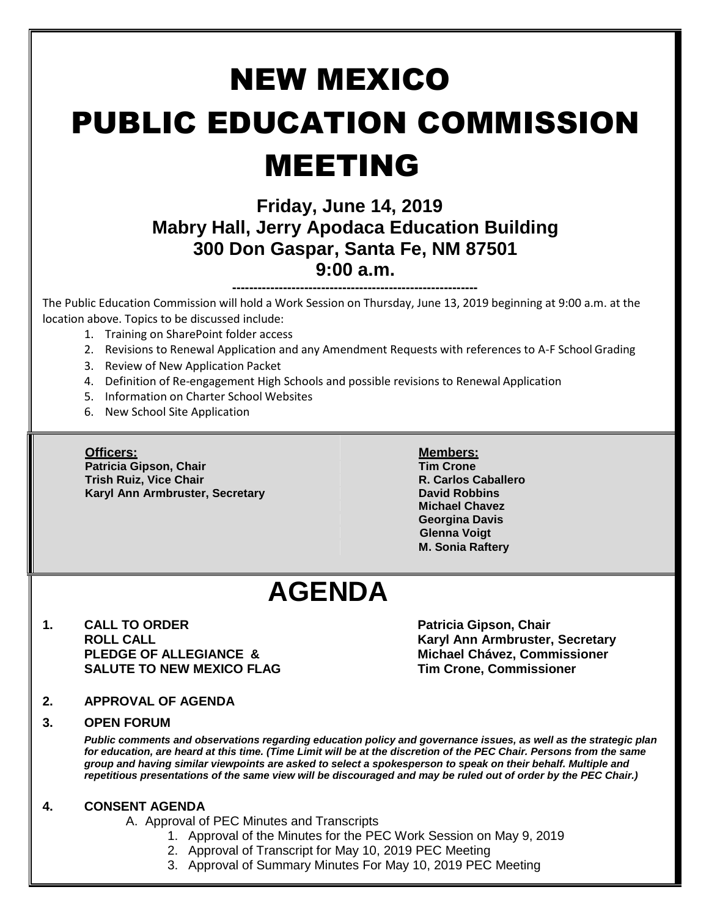# NEW MEXICO PUBLIC EDUCATION COMMISSION MEETING

### **Friday, June 14, 2019 Mabry Hall, Jerry Apodaca Education Building 300 Don Gaspar, Santa Fe, NM 87501 9:00 a.m.**

**----------------------------------------------------------** The Public Education Commission will hold a Work Session on Thursday, June 13, 2019 beginning at 9:00 a.m. at the location above. Topics to be discussed include:

- 1. Training on SharePoint folder access
- 2. Revisions to Renewal Application and any Amendment Requests with references to A-F School Grading
- 3. Review of New Application Packet
- 4. Definition of Re-engagement High Schools and possible revisions to Renewal Application
- 5. Information on Charter School Websites
- 6. New School Site Application

**Patricia Gipson, Chair Tim Crone Trish Ruiz, Vice Chair R. Carlos Caballero Karyl Ann Armbruster, Secretary <b>David Robbins David Robbins** 

#### **Officers: Members:**

**Michael Chavez Georgina Davis Glenna Voigt M. Sonia Raftery**

## **AGENDA**

**1. CALL TO ORDER Patricia Gipson, Chair SALUTE TO NEW MEXICO FLAG Tim Crone, Commissioner**

**ROLL CALL Karyl Ann Armbruster, Secretary PLEDGE OF ALLEGIANCE & Michael Chávez, Commissioner**

**2. APPROVAL OF AGENDA**

#### **3. OPEN FORUM**

*Public comments and observations regarding education policy and governance issues, as well as the strategic plan for education, are heard at this time. (Time Limit will be at the discretion of the PEC Chair. Persons from the same group and having similar viewpoints are asked to select a spokesperson to speak on their behalf. Multiple and repetitious presentations of the same view will be discouraged and may be ruled out of order by the PEC Chair.)*

#### **4. CONSENT AGENDA**

A. Approval of PEC Minutes and Transcripts

- 1. Approval of the Minutes for the PEC Work Session on May 9, 2019
	- 2. Approval of Transcript for May 10, 2019 PEC Meeting
	- 3. Approval of Summary Minutes For May 10, 2019 PEC Meeting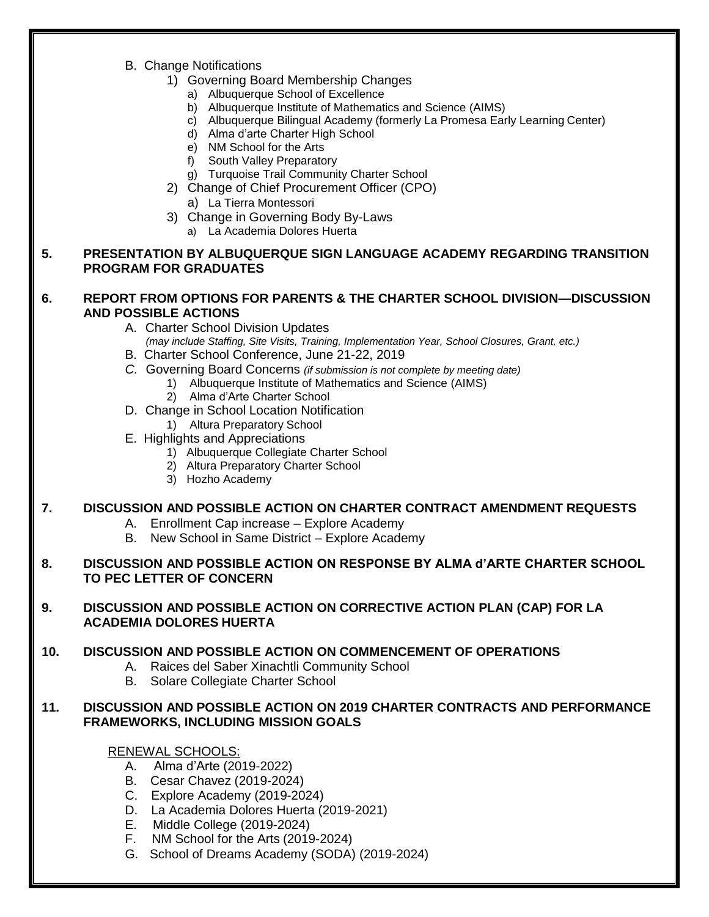B. Change Notifications

#### 1) Governing Board Membership Changes

- a) Albuquerque School of Excellence
- b) Albuquerque Institute of Mathematics and Science (AIMS)
- c) Albuquerque Bilingual Academy (formerly La Promesa Early Learning Center)
- d) Alma d'arte Charter High School
- e) NM School for the Arts
- f) South Valley Preparatory
- g) Turquoise Trail Community Charter School
- 2) Change of Chief Procurement Officer (CPO)
	- a) La Tierra Montessori
- 3) Change in Governing Body By-Laws
	- a) La Academia Dolores Huerta

#### **5. PRESENTATION BY ALBUQUERQUE SIGN LANGUAGE ACADEMY REGARDING TRANSITION PROGRAM FOR GRADUATES**

#### **6. REPORT FROM OPTIONS FOR PARENTS & THE CHARTER SCHOOL DIVISION—DISCUSSION AND POSSIBLE ACTIONS**

- A. Charter School Division Updates
- *(may include Staffing, Site Visits, Training, Implementation Year, School Closures, Grant, etc.)*
- B. Charter School Conference, June 21-22, 2019
- *C.* Governing Board Concerns *(if submission is not complete by meeting date)*
	- 1) Albuquerque Institute of Mathematics and Science (AIMS)
	- 2) Alma d'Arte Charter School
- D. Change in School Location Notification
	- 1) Altura Preparatory School
- E. Highlights and Appreciations
	- 1) Albuquerque Collegiate Charter School
	- 2) Altura Preparatory Charter School
	- 3) Hozho Academy

#### **7. DISCUSSION AND POSSIBLE ACTION ON CHARTER CONTRACT AMENDMENT REQUESTS**

- A. Enrollment Cap increase Explore Academy
- B. New School in Same District Explore Academy

#### **8. DISCUSSION AND POSSIBLE ACTION ON RESPONSE BY ALMA d'ARTE CHARTER SCHOOL TO PEC LETTER OF CONCERN**

#### **9. DISCUSSION AND POSSIBLE ACTION ON CORRECTIVE ACTION PLAN (CAP) FOR LA ACADEMIA DOLORES HUERTA**

#### **10. DISCUSSION AND POSSIBLE ACTION ON COMMENCEMENT OF OPERATIONS**

- A. Raices del Saber Xinachtli Community School
- B. Solare Collegiate Charter School

#### **11. DISCUSSION AND POSSIBLE ACTION ON 2019 CHARTER CONTRACTS AND PERFORMANCE FRAMEWORKS, INCLUDING MISSION GOALS**

#### RENEWAL SCHOOLS:

- A. Alma d'Arte (2019-2022)
- B. Cesar Chavez (2019-2024)
- C. Explore Academy (2019-2024)
- D. La Academia Dolores Huerta (2019-2021)
- E. Middle College (2019-2024)
- F. NM School for the Arts (2019-2024)
- G. School of Dreams Academy (SODA) (2019-2024)